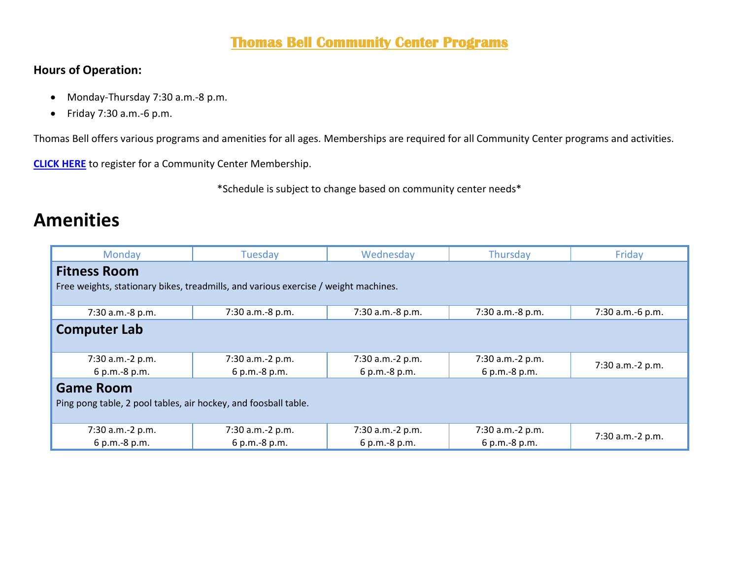#### **Thomas Bell Community Center Programs**

#### **Hours of Operation:**

- Monday-Thursday 7:30 a.m.-8 p.m.
- Friday 7:30 a.m.-6 p.m.

Thomas Bell offers various programs and amenities for all ages. Memberships are required for all Community Center programs and activities.

**[CLICK HERE](https://web2.myvscloud.com/wbwsc/nmalbuquerquewt.wsc/search.html?module=PM&type=CC&SessionID=d846710dc56d5463f537aafcaa509fe683a16764b8a199b747fabb22a632bf00b5cd4ef582907e548730d0f15f5e48947ca2713046b42ddc29ca9d724aa72ffa)** to register for a Community Center Membership.

\*Schedule is subject to change based on community center needs\*

### **Amenities**

| Monday                                                                              | Tuesday          | Wednesday        | Thursday         | Friday           |  |  |  |
|-------------------------------------------------------------------------------------|------------------|------------------|------------------|------------------|--|--|--|
| <b>Fitness Room</b>                                                                 |                  |                  |                  |                  |  |  |  |
| Free weights, stationary bikes, treadmills, and various exercise / weight machines. |                  |                  |                  |                  |  |  |  |
|                                                                                     |                  |                  |                  |                  |  |  |  |
| 7:30 a.m.-8 p.m.                                                                    | 7:30 a.m.-8 p.m. | 7:30 a.m.-8 p.m. | 7:30 a.m.-8 p.m. | 7:30 a.m.-6 p.m. |  |  |  |
| <b>Computer Lab</b>                                                                 |                  |                  |                  |                  |  |  |  |
|                                                                                     |                  |                  |                  |                  |  |  |  |
| 7:30 a.m.-2 p.m.                                                                    | 7:30 a.m.-2 p.m. | 7:30 a.m.-2 p.m. | 7:30 a.m.-2 p.m. | 7:30 a.m.-2 p.m. |  |  |  |
| 6 p.m.-8 p.m.                                                                       | 6 p.m.-8 p.m.    | 6 p.m.-8 p.m.    | 6 p.m.-8 p.m.    |                  |  |  |  |
| <b>Game Room</b>                                                                    |                  |                  |                  |                  |  |  |  |
| Ping pong table, 2 pool tables, air hockey, and foosball table.                     |                  |                  |                  |                  |  |  |  |
|                                                                                     |                  |                  |                  |                  |  |  |  |
| 7:30 a.m.-2 p.m.                                                                    | 7:30 a.m.-2 p.m. | 7:30 a.m.-2 p.m. | 7:30 a.m.-2 p.m. | 7:30 a.m.-2 p.m. |  |  |  |
| 6 p.m.-8 p.m.                                                                       | 6 p.m.-8 p.m.    | 6 p.m.-8 p.m.    | 6 p.m.-8 p.m.    |                  |  |  |  |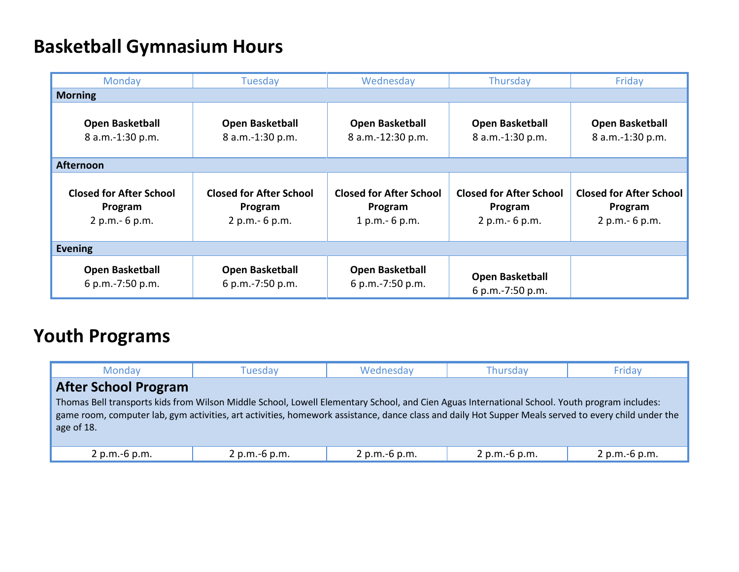# **Basketball Gymnasium Hours**

| Monday                                                       | Tuesday                                                      | Wednesday                                                    | Thursday                                                     | Friday                                                       |  |  |
|--------------------------------------------------------------|--------------------------------------------------------------|--------------------------------------------------------------|--------------------------------------------------------------|--------------------------------------------------------------|--|--|
| <b>Morning</b>                                               |                                                              |                                                              |                                                              |                                                              |  |  |
| <b>Open Basketball</b><br>8 a.m.-1:30 p.m.                   | Open Basketball<br>8 a.m.-1:30 p.m.                          | <b>Open Basketball</b><br>8 a.m.-12:30 p.m.                  | <b>Open Basketball</b><br>8 a.m.-1:30 p.m.                   | <b>Open Basketball</b><br>8 a.m.-1:30 p.m.                   |  |  |
| <b>Afternoon</b>                                             |                                                              |                                                              |                                                              |                                                              |  |  |
| <b>Closed for After School</b><br>Program<br>2 p.m. - 6 p.m. | <b>Closed for After School</b><br>Program<br>2 p.m. - 6 p.m. | <b>Closed for After School</b><br>Program<br>$1 p.m.-6 p.m.$ | <b>Closed for After School</b><br>Program<br>2 p.m. - 6 p.m. | <b>Closed for After School</b><br>Program<br>2 p.m. - 6 p.m. |  |  |
| <b>Evening</b>                                               |                                                              |                                                              |                                                              |                                                              |  |  |
| <b>Open Basketball</b><br>6 p.m.-7:50 p.m.                   | Open Basketball<br>6 p.m.-7:50 p.m.                          | <b>Open Basketball</b><br>6 p.m.-7:50 p.m.                   | <b>Open Basketball</b><br>6 p.m.-7:50 p.m.                   |                                                              |  |  |

# **Youth Programs**

| Monday                                                                                                                                                                                                                                                                                                                                             | Tuesdav        | Wednesday     | <b>Thursday</b> | Friday          |  |  |  |  |  |
|----------------------------------------------------------------------------------------------------------------------------------------------------------------------------------------------------------------------------------------------------------------------------------------------------------------------------------------------------|----------------|---------------|-----------------|-----------------|--|--|--|--|--|
| <b>After School Program</b><br>Thomas Bell transports kids from Wilson Middle School, Lowell Elementary School, and Cien Aguas International School. Youth program includes:<br>game room, computer lab, gym activities, art activities, homework assistance, dance class and daily Hot Supper Meals served to every child under the<br>age of 18. |                |               |                 |                 |  |  |  |  |  |
| 2 p.m.-6 p.m.                                                                                                                                                                                                                                                                                                                                      | 2 p.m. -6 p.m. | 2 p.m.-6 p.m. | 2 p.m.-6 p.m.   | $2 p.m.-6 p.m.$ |  |  |  |  |  |